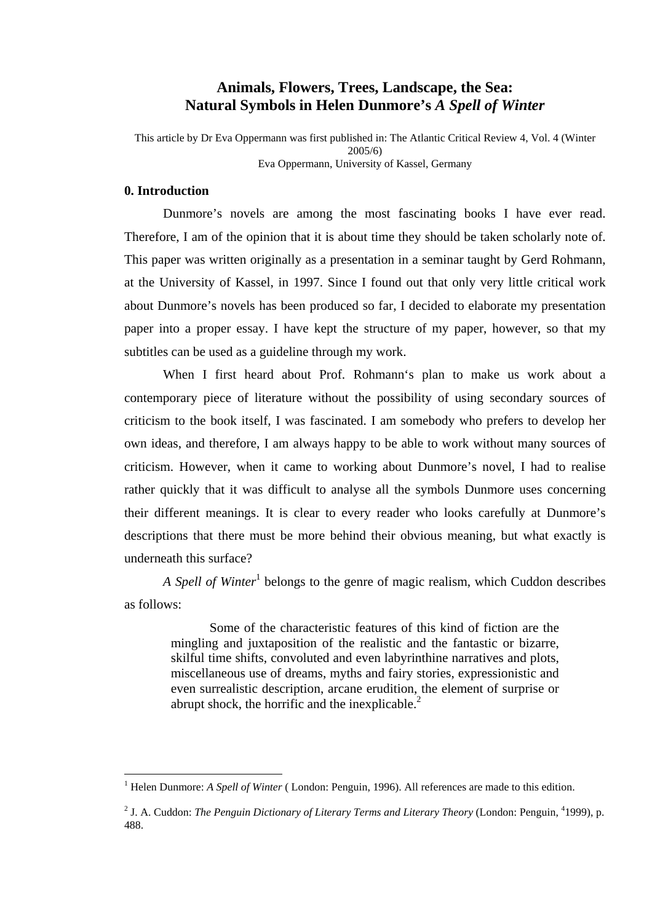# **Animals, Flowers, Trees, Landscape, the Sea: Natural Symbols in Helen Dunmore's** *A Spell of Winter*

This article by Dr Eva Oppermann was first published in: The Atlantic Critical Review 4, Vol. 4 (Winter 2005/6) Eva Oppermann, University of Kassel, Germany

# **0. Introduction**

 $\overline{a}$ 

Dunmore's novels are among the most fascinating books I have ever read. Therefore, I am of the opinion that it is about time they should be taken scholarly note of. This paper was written originally as a presentation in a seminar taught by Gerd Rohmann, at the University of Kassel, in 1997. Since I found out that only very little critical work about Dunmore's novels has been produced so far, I decided to elaborate my presentation paper into a proper essay. I have kept the structure of my paper, however, so that my subtitles can be used as a guideline through my work.

When I first heard about Prof. Rohmann's plan to make us work about a contemporary piece of literature without the possibility of using secondary sources of criticism to the book itself, I was fascinated. I am somebody who prefers to develop her own ideas, and therefore, I am always happy to be able to work without many sources of criticism. However, when it came to working about Dunmore's novel, I had to realise rather quickly that it was difficult to analyse all the symbols Dunmore uses concerning their different meanings. It is clear to every reader who looks carefully at Dunmore's descriptions that there must be more behind their obvious meaning, but what exactly is underneath this surface?

A Spell of Winter<sup>1</sup> belongs to the genre of magic realism, which Cuddon describes as follows:

Some of the characteristic features of this kind of fiction are the mingling and juxtaposition of the realistic and the fantastic or bizarre, skilful time shifts, convoluted and even labyrinthine narratives and plots, miscellaneous use of dreams, myths and fairy stories, expressionistic and even surrealistic description, arcane erudition, the element of surprise or abrupt shock, the horrific and the inexplicable. $^{2}$ 

<sup>&</sup>lt;sup>1</sup> Helen Dunmore: *A Spell of Winter* (London: Penguin, 1996). All references are made to this edition.

<sup>&</sup>lt;sup>2</sup> J. A. Cuddon: *The Penguin Dictionary of Literary Terms and Literary Theory (London: Penguin, <sup>4</sup>1999), p.* 488.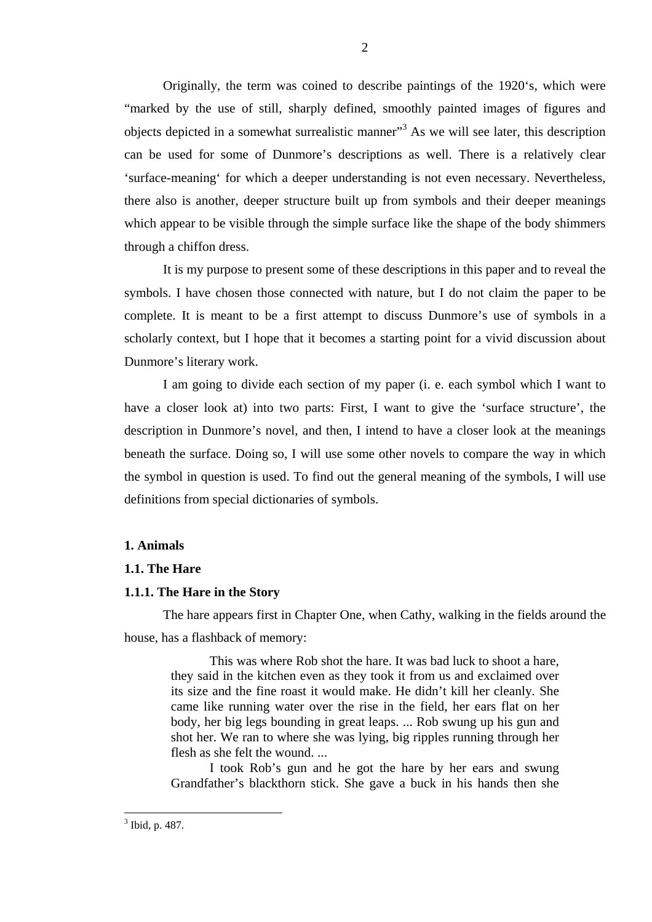Originally, the term was coined to describe paintings of the 1920's, which were "marked by the use of still, sharply defined, smoothly painted images of figures and objects depicted in a somewhat surrealistic manner"<sup>3</sup> As we will see later, this description can be used for some of Dunmore's descriptions as well. There is a relatively clear 'surface-meaning' for which a deeper understanding is not even necessary. Nevertheless, there also is another, deeper structure built up from symbols and their deeper meanings which appear to be visible through the simple surface like the shape of the body shimmers through a chiffon dress.

It is my purpose to present some of these descriptions in this paper and to reveal the symbols. I have chosen those connected with nature, but I do not claim the paper to be complete. It is meant to be a first attempt to discuss Dunmore's use of symbols in a scholarly context, but I hope that it becomes a starting point for a vivid discussion about Dunmore's literary work.

I am going to divide each section of my paper (i. e. each symbol which I want to have a closer look at) into two parts: First, I want to give the 'surface structure', the description in Dunmore's novel, and then, I intend to have a closer look at the meanings beneath the surface. Doing so, I will use some other novels to compare the way in which the symbol in question is used. To find out the general meaning of the symbols, I will use definitions from special dictionaries of symbols.

## **1. Animals**

#### **1.1. The Hare**

## **1.1.1. The Hare in the Story**

The hare appears first in Chapter One, when Cathy, walking in the fields around the house, has a flashback of memory:

This was where Rob shot the hare. It was bad luck to shoot a hare, they said in the kitchen even as they took it from us and exclaimed over its size and the fine roast it would make. He didn't kill her cleanly. She came like running water over the rise in the field, her ears flat on her body, her big legs bounding in great leaps. ... Rob swung up his gun and shot her. We ran to where she was lying, big ripples running through her flesh as she felt the wound. ...

I took Rob's gun and he got the hare by her ears and swung Grandfather's blackthorn stick. She gave a buck in his hands then she

 $3$  Ibid, p. 487.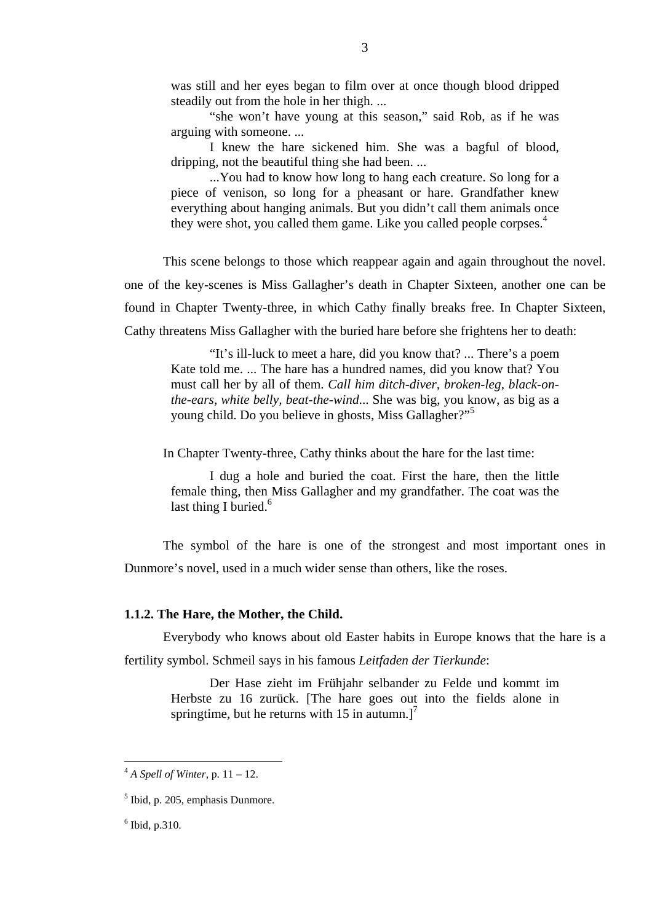"she won't have young at this season," said Rob, as if he was arguing with someone. ...

I knew the hare sickened him. She was a bagful of blood, dripping, not the beautiful thing she had been. ...

...You had to know how long to hang each creature. So long for a piece of venison, so long for a pheasant or hare. Grandfather knew everything about hanging animals. But you didn't call them animals once they were shot, you called them game. Like you called people corpses. $4$ 

This scene belongs to those which reappear again and again throughout the novel. one of the key-scenes is Miss Gallagher's death in Chapter Sixteen, another one can be found in Chapter Twenty-three, in which Cathy finally breaks free. In Chapter Sixteen, Cathy threatens Miss Gallagher with the buried hare before she frightens her to death:

"It's ill-luck to meet a hare, did you know that? ... There's a poem Kate told me. ... The hare has a hundred names, did you know that? You must call her by all of them. *Call him ditch-diver, broken-leg, black-onthe-ears, white belly, beat-the-wind*... She was big, you know, as big as a young child. Do you believe in ghosts, Miss Gallagher?"<sup>5</sup>

In Chapter Twenty-three, Cathy thinks about the hare for the last time:

I dug a hole and buried the coat. First the hare, then the little female thing, then Miss Gallagher and my grandfather. The coat was the last thing I buried.<sup>6</sup>

The symbol of the hare is one of the strongest and most important ones in Dunmore's novel, used in a much wider sense than others, like the roses.

#### **1.1.2. The Hare, the Mother, the Child.**

Everybody who knows about old Easter habits in Europe knows that the hare is a fertility symbol. Schmeil says in his famous *Leitfaden der Tierkunde*:

Der Hase zieht im Frühjahr selbander zu Felde und kommt im Herbste zu 16 zurück. [The hare goes out into the fields alone in springtime, but he returns with 15 in autumn.]<sup>7</sup>

 $A^4$  *A Spell of Winter, p.* 11 – 12.

<sup>5</sup> Ibid, p. 205, emphasis Dunmore.

 $6$  Ibid, p.310.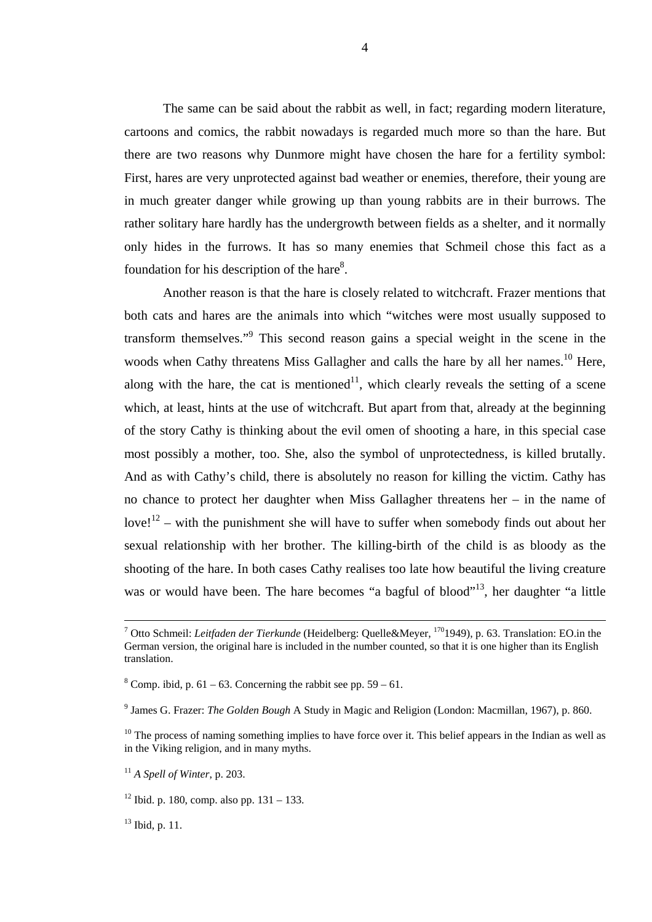The same can be said about the rabbit as well, in fact; regarding modern literature, cartoons and comics, the rabbit nowadays is regarded much more so than the hare. But there are two reasons why Dunmore might have chosen the hare for a fertility symbol: First, hares are very unprotected against bad weather or enemies, therefore, their young are in much greater danger while growing up than young rabbits are in their burrows. The rather solitary hare hardly has the undergrowth between fields as a shelter, and it normally only hides in the furrows. It has so many enemies that Schmeil chose this fact as a foundation for his description of the hare $8$ .

Another reason is that the hare is closely related to witchcraft. Frazer mentions that both cats and hares are the animals into which "witches were most usually supposed to transform themselves."<sup>9</sup> This second reason gains a special weight in the scene in the woods when Cathy threatens Miss Gallagher and calls the hare by all her names.<sup>10</sup> Here, along with the hare, the cat is mentioned<sup>11</sup>, which clearly reveals the setting of a scene which, at least, hints at the use of witchcraft. But apart from that, already at the beginning of the story Cathy is thinking about the evil omen of shooting a hare, in this special case most possibly a mother, too. She, also the symbol of unprotectedness, is killed brutally. And as with Cathy's child, there is absolutely no reason for killing the victim. Cathy has no chance to protect her daughter when Miss Gallagher threatens her – in the name of  $\text{love!}^{12}$  – with the punishment she will have to suffer when somebody finds out about her sexual relationship with her brother. The killing-birth of the child is as bloody as the shooting of the hare. In both cases Cathy realises too late how beautiful the living creature was or would have been. The hare becomes "a bagful of blood"<sup>13</sup>, her daughter "a little

 $13$  Ibid, p. 11.

<sup>&</sup>lt;sup>-</sup> <sup>7</sup> Otto Schmeil: *Leitfaden der Tierkunde* (Heidelberg: Quelle&Meyer, <sup>170</sup>1949), p. 63. Translation: EO.in the German version, the original hare is included in the number counted, so that it is one higher than its English translation.

 $8$  Comp. ibid, p. 61 – 63. Concerning the rabbit see pp. 59 – 61.

<sup>9</sup> James G. Frazer: *The Golden Bough* A Study in Magic and Religion (London: Macmillan, 1967), p. 860.

<sup>&</sup>lt;sup>10</sup> The process of naming something implies to have force over it. This belief appears in the Indian as well as in the Viking religion, and in many myths.

<sup>11</sup> *A Spell of Winter*, p. 203.

 $12$  Ibid. p. 180, comp. also pp. 131 – 133.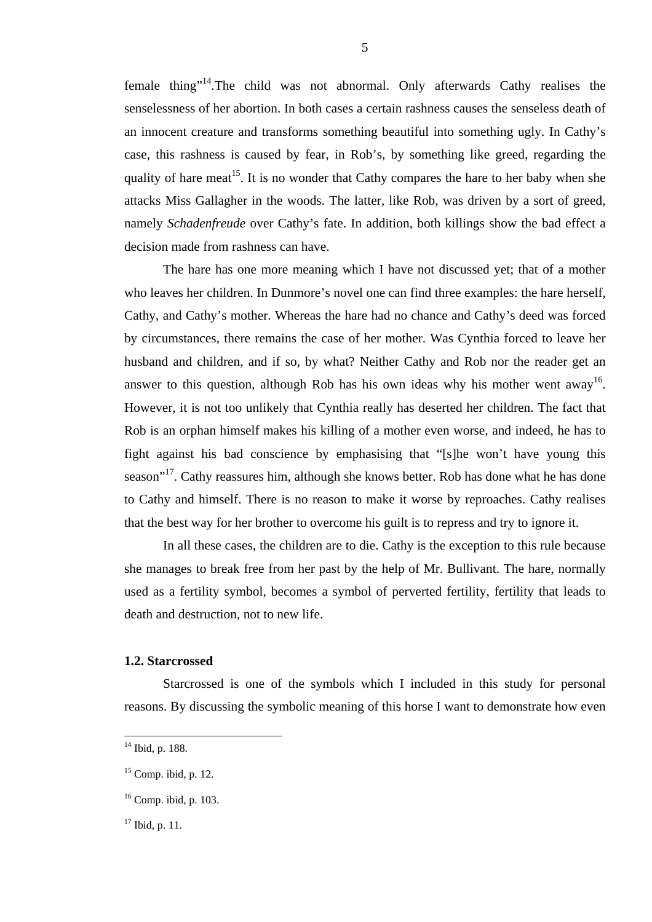female thing"14.The child was not abnormal. Only afterwards Cathy realises the senselessness of her abortion. In both cases a certain rashness causes the senseless death of an innocent creature and transforms something beautiful into something ugly. In Cathy's case, this rashness is caused by fear, in Rob's, by something like greed, regarding the quality of hare meat<sup>15</sup>. It is no wonder that Cathy compares the hare to her baby when she attacks Miss Gallagher in the woods. The latter, like Rob, was driven by a sort of greed, namely *Schadenfreude* over Cathy's fate. In addition, both killings show the bad effect a decision made from rashness can have.

The hare has one more meaning which I have not discussed yet; that of a mother who leaves her children. In Dunmore's novel one can find three examples: the hare herself, Cathy, and Cathy's mother. Whereas the hare had no chance and Cathy's deed was forced by circumstances, there remains the case of her mother. Was Cynthia forced to leave her husband and children, and if so, by what? Neither Cathy and Rob nor the reader get an answer to this question, although Rob has his own ideas why his mother went away<sup>16</sup>. However, it is not too unlikely that Cynthia really has deserted her children. The fact that Rob is an orphan himself makes his killing of a mother even worse, and indeed, he has to fight against his bad conscience by emphasising that "[s]he won't have young this season<sup>"17</sup>. Cathy reassures him, although she knows better. Rob has done what he has done to Cathy and himself. There is no reason to make it worse by reproaches. Cathy realises that the best way for her brother to overcome his guilt is to repress and try to ignore it.

In all these cases, the children are to die. Cathy is the exception to this rule because she manages to break free from her past by the help of Mr. Bullivant. The hare, normally used as a fertility symbol, becomes a symbol of perverted fertility, fertility that leads to death and destruction, not to new life.

## **1.2. Starcrossed**

Starcrossed is one of the symbols which I included in this study for personal reasons. By discussing the symbolic meaning of this horse I want to demonstrate how even

 $14$  Ibid, p. 188.

 $15$  Comp. ibid, p. 12.

<sup>16</sup> Comp. ibid, p. 103.

 $17$  Ibid, p. 11.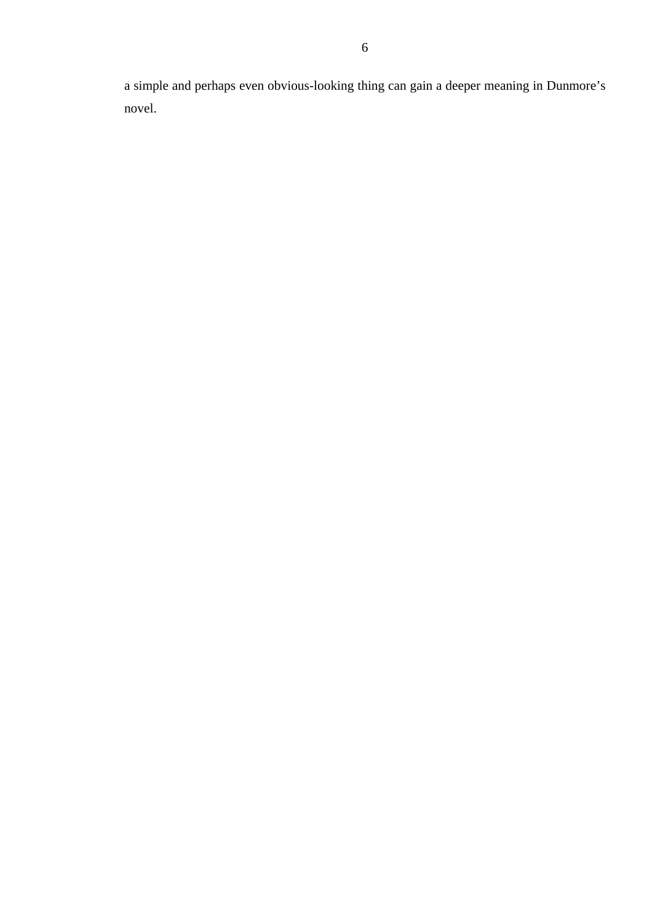a simple and perhaps even obvious-looking thing can gain a deeper meaning in Dunmore's novel.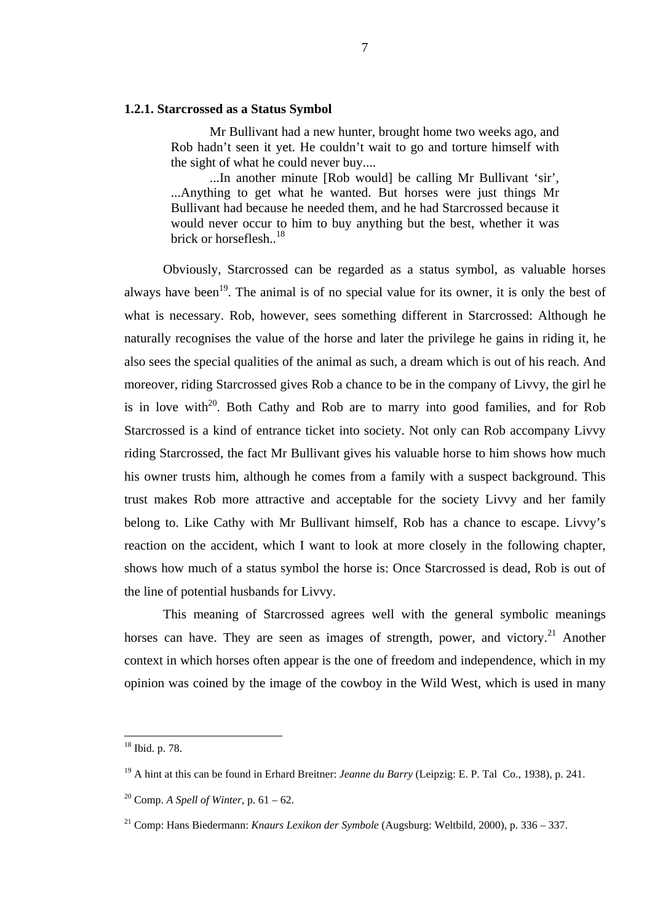## **1.2.1. Starcrossed as a Status Symbol**

Mr Bullivant had a new hunter, brought home two weeks ago, and Rob hadn't seen it yet. He couldn't wait to go and torture himself with the sight of what he could never buy....

...In another minute [Rob would] be calling Mr Bullivant 'sir', ...Anything to get what he wanted. But horses were just things Mr Bullivant had because he needed them, and he had Starcrossed because it would never occur to him to buy anything but the best, whether it was brick or horseflesh. $^{18}$ 

Obviously, Starcrossed can be regarded as a status symbol, as valuable horses always have been<sup>19</sup>. The animal is of no special value for its owner, it is only the best of what is necessary. Rob, however, sees something different in Starcrossed: Although he naturally recognises the value of the horse and later the privilege he gains in riding it, he also sees the special qualities of the animal as such, a dream which is out of his reach. And moreover, riding Starcrossed gives Rob a chance to be in the company of Livvy, the girl he is in love with<sup>20</sup>. Both Cathy and Rob are to marry into good families, and for Rob Starcrossed is a kind of entrance ticket into society. Not only can Rob accompany Livvy riding Starcrossed, the fact Mr Bullivant gives his valuable horse to him shows how much his owner trusts him, although he comes from a family with a suspect background. This trust makes Rob more attractive and acceptable for the society Livvy and her family belong to. Like Cathy with Mr Bullivant himself, Rob has a chance to escape. Livvy's reaction on the accident, which I want to look at more closely in the following chapter, shows how much of a status symbol the horse is: Once Starcrossed is dead, Rob is out of the line of potential husbands for Livvy.

This meaning of Starcrossed agrees well with the general symbolic meanings horses can have. They are seen as images of strength, power, and victory.<sup>21</sup> Another context in which horses often appear is the one of freedom and independence, which in my opinion was coined by the image of the cowboy in the Wild West, which is used in many

<sup>18</sup> Ibid. p. 78.

<sup>19</sup> A hint at this can be found in Erhard Breitner: *Jeanne du Barry* (Leipzig: E. P. Tal Co., 1938), p. 241.

<sup>20</sup> Comp. *A Spell of Winter*, p. 61 – 62.

<sup>21</sup> Comp: Hans Biedermann: *Knaurs Lexikon der Symbole* (Augsburg: Weltbild, 2000), p. 336 – 337.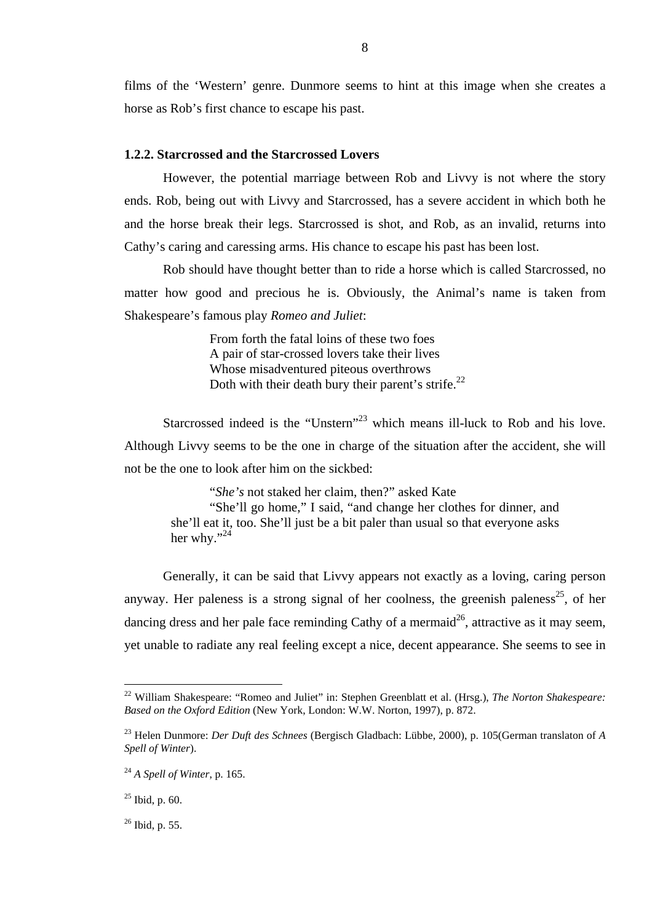films of the 'Western' genre. Dunmore seems to hint at this image when she creates a horse as Rob's first chance to escape his past.

8

## **1.2.2. Starcrossed and the Starcrossed Lovers**

However, the potential marriage between Rob and Livvy is not where the story ends. Rob, being out with Livvy and Starcrossed, has a severe accident in which both he and the horse break their legs. Starcrossed is shot, and Rob, as an invalid, returns into Cathy's caring and caressing arms. His chance to escape his past has been lost.

Rob should have thought better than to ride a horse which is called Starcrossed, no matter how good and precious he is. Obviously, the Animal's name is taken from Shakespeare's famous play *Romeo and Juliet*:

> From forth the fatal loins of these two foes A pair of star-crossed lovers take their lives Whose misadventured piteous overthrows Doth with their death bury their parent's strife.<sup>22</sup>

Starcrossed indeed is the "Unstern"<sup>23</sup> which means ill-luck to Rob and his love. Although Livvy seems to be the one in charge of the situation after the accident, she will not be the one to look after him on the sickbed:

"*She's* not staked her claim, then?" asked Kate "She'll go home," I said, "and change her clothes for dinner, and she'll eat it, too. She'll just be a bit paler than usual so that everyone asks her why." $^{24}$ 

Generally, it can be said that Livvy appears not exactly as a loving, caring person anyway. Her paleness is a strong signal of her coolness, the greenish paleness<sup>25</sup>, of her dancing dress and her pale face reminding Cathy of a mermaid<sup>26</sup>, attractive as it may seem, yet unable to radiate any real feeling except a nice, decent appearance. She seems to see in

<sup>&</sup>lt;sup>22</sup> William Shakespeare: "Romeo and Juliet" in: Stephen Greenblatt et al. (Hrsg.), *The Norton Shakespeare: Based on the Oxford Edition* (New York, London: W.W. Norton, 1997), p. 872.

<sup>23</sup> Helen Dunmore: *Der Duft des Schnees* (Bergisch Gladbach: Lübbe, 2000), p. 105(German translaton of *A Spell of Winter*).

<sup>24</sup> *A Spell of Winter*, p. 165.

 $25$  Ibid, p. 60.

<sup>26</sup> Ibid, p. 55.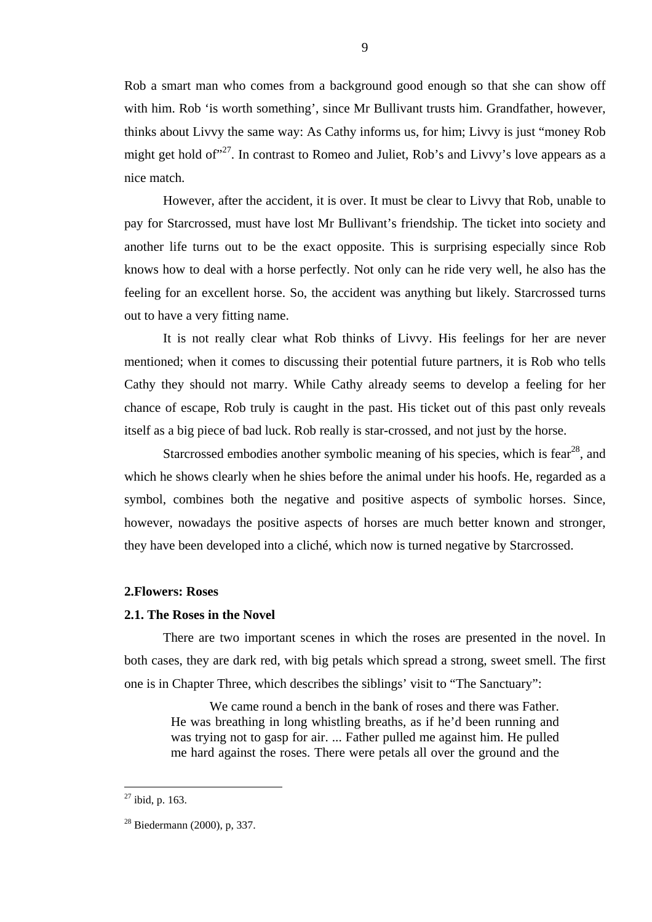Rob a smart man who comes from a background good enough so that she can show off with him. Rob 'is worth something', since Mr Bullivant trusts him. Grandfather, however, thinks about Livvy the same way: As Cathy informs us, for him; Livvy is just "money Rob might get hold of"<sup>27</sup>. In contrast to Romeo and Juliet, Rob's and Livvy's love appears as a nice match.

However, after the accident, it is over. It must be clear to Livvy that Rob, unable to pay for Starcrossed, must have lost Mr Bullivant's friendship. The ticket into society and another life turns out to be the exact opposite. This is surprising especially since Rob knows how to deal with a horse perfectly. Not only can he ride very well, he also has the feeling for an excellent horse. So, the accident was anything but likely. Starcrossed turns out to have a very fitting name.

It is not really clear what Rob thinks of Livvy. His feelings for her are never mentioned; when it comes to discussing their potential future partners, it is Rob who tells Cathy they should not marry. While Cathy already seems to develop a feeling for her chance of escape, Rob truly is caught in the past. His ticket out of this past only reveals itself as a big piece of bad luck. Rob really is star-crossed, and not just by the horse.

Starcrossed embodies another symbolic meaning of his species, which is fear<sup>28</sup>, and which he shows clearly when he shies before the animal under his hoofs. He, regarded as a symbol, combines both the negative and positive aspects of symbolic horses. Since, however, nowadays the positive aspects of horses are much better known and stronger, they have been developed into a cliché, which now is turned negative by Starcrossed.

## **2.Flowers: Roses**

#### **2.1. The Roses in the Novel**

There are two important scenes in which the roses are presented in the novel. In both cases, they are dark red, with big petals which spread a strong, sweet smell. The first one is in Chapter Three, which describes the siblings' visit to "The Sanctuary":

We came round a bench in the bank of roses and there was Father. He was breathing in long whistling breaths, as if he'd been running and was trying not to gasp for air. ... Father pulled me against him. He pulled me hard against the roses. There were petals all over the ground and the

 $27$  ibid, p. 163.

<sup>28</sup> Biedermann (2000), p, 337.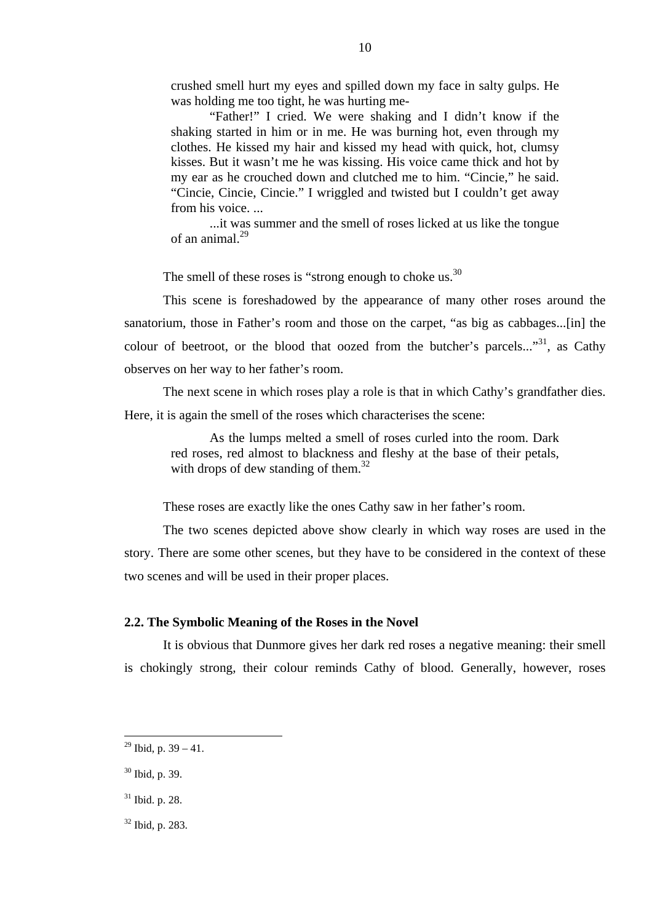crushed smell hurt my eyes and spilled down my face in salty gulps. He was holding me too tight, he was hurting me-

10

"Father!" I cried. We were shaking and I didn't know if the shaking started in him or in me. He was burning hot, even through my clothes. He kissed my hair and kissed my head with quick, hot, clumsy kisses. But it wasn't me he was kissing. His voice came thick and hot by my ear as he crouched down and clutched me to him. "Cincie," he said. "Cincie, Cincie, Cincie." I wriggled and twisted but I couldn't get away from his voice. ...

...it was summer and the smell of roses licked at us like the tongue of an animal. $^{29}$ 

The smell of these roses is "strong enough to choke us. $30$ 

This scene is foreshadowed by the appearance of many other roses around the sanatorium, those in Father's room and those on the carpet, "as big as cabbages...[in] the colour of beetroot, or the blood that oozed from the butcher's parcels..."<sup>31</sup>, as Cathy observes on her way to her father's room.

The next scene in which roses play a role is that in which Cathy's grandfather dies. Here, it is again the smell of the roses which characterises the scene:

As the lumps melted a smell of roses curled into the room. Dark red roses, red almost to blackness and fleshy at the base of their petals, with drops of dew standing of them. $32$ 

These roses are exactly like the ones Cathy saw in her father's room.

The two scenes depicted above show clearly in which way roses are used in the story. There are some other scenes, but they have to be considered in the context of these two scenes and will be used in their proper places.

## **2.2. The Symbolic Meaning of the Roses in the Novel**

It is obvious that Dunmore gives her dark red roses a negative meaning: their smell is chokingly strong, their colour reminds Cathy of blood. Generally, however, roses

 $^{29}$  Ibid, p. 39 – 41.

<sup>30</sup> Ibid, p. 39.

<sup>31</sup> Ibid. p. 28.

<sup>32</sup> Ibid, p. 283.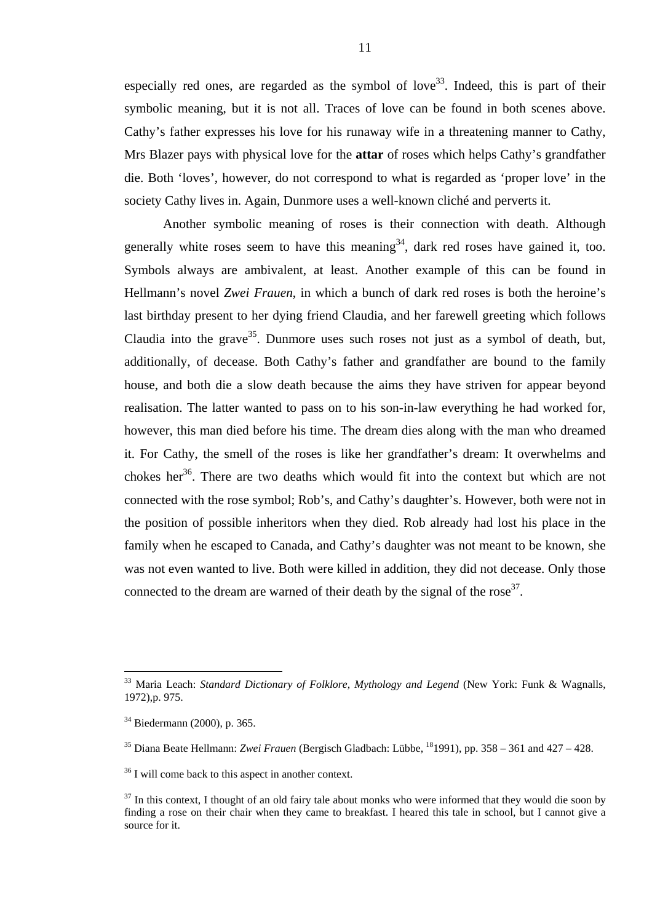especially red ones, are regarded as the symbol of love<sup>33</sup>. Indeed, this is part of their symbolic meaning, but it is not all. Traces of love can be found in both scenes above. Cathy's father expresses his love for his runaway wife in a threatening manner to Cathy, Mrs Blazer pays with physical love for the **attar** of roses which helps Cathy's grandfather die. Both 'loves', however, do not correspond to what is regarded as 'proper love' in the society Cathy lives in. Again, Dunmore uses a well-known cliché and perverts it.

Another symbolic meaning of roses is their connection with death. Although generally white roses seem to have this meaning  $34$ , dark red roses have gained it, too. Symbols always are ambivalent, at least. Another example of this can be found in Hellmann's novel *Zwei Frauen*, in which a bunch of dark red roses is both the heroine's last birthday present to her dying friend Claudia, and her farewell greeting which follows Claudia into the grave<sup>35</sup>. Dunmore uses such roses not just as a symbol of death, but, additionally, of decease. Both Cathy's father and grandfather are bound to the family house, and both die a slow death because the aims they have striven for appear beyond realisation. The latter wanted to pass on to his son-in-law everything he had worked for, however, this man died before his time. The dream dies along with the man who dreamed it. For Cathy, the smell of the roses is like her grandfather's dream: It overwhelms and chokes her<sup>36</sup>. There are two deaths which would fit into the context but which are not connected with the rose symbol; Rob's, and Cathy's daughter's. However, both were not in the position of possible inheritors when they died. Rob already had lost his place in the family when he escaped to Canada, and Cathy's daughter was not meant to be known, she was not even wanted to live. Both were killed in addition, they did not decease. Only those connected to the dream are warned of their death by the signal of the rose<sup>37</sup>.

<sup>33</sup> Maria Leach: *Standard Dictionary of Folklore, Mythology and Legend* (New York: Funk & Wagnalls, 1972),p. 975.

<sup>34</sup> Biedermann (2000), p. 365.

<sup>35</sup> Diana Beate Hellmann: *Zwei Frauen* (Bergisch Gladbach: Lübbe, 181991), pp. 358 – 361 and 427 – 428.

<sup>&</sup>lt;sup>36</sup> I will come back to this aspect in another context.

 $37$  In this context, I thought of an old fairy tale about monks who were informed that they would die soon by finding a rose on their chair when they came to breakfast. I heared this tale in school, but I cannot give a source for it.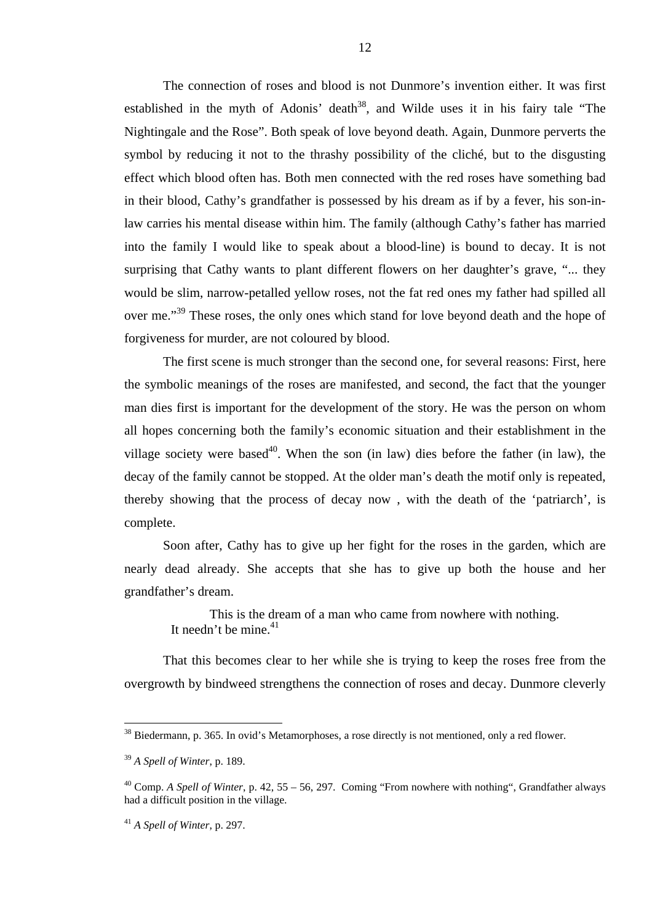The connection of roses and blood is not Dunmore's invention either. It was first established in the myth of Adonis' death<sup>38</sup>, and Wilde uses it in his fairy tale "The Nightingale and the Rose". Both speak of love beyond death. Again, Dunmore perverts the symbol by reducing it not to the thrashy possibility of the cliché, but to the disgusting effect which blood often has. Both men connected with the red roses have something bad in their blood, Cathy's grandfather is possessed by his dream as if by a fever, his son-inlaw carries his mental disease within him. The family (although Cathy's father has married into the family I would like to speak about a blood-line) is bound to decay. It is not surprising that Cathy wants to plant different flowers on her daughter's grave, "... they would be slim, narrow-petalled yellow roses, not the fat red ones my father had spilled all over me."<sup>39</sup> These roses, the only ones which stand for love beyond death and the hope of forgiveness for murder, are not coloured by blood.

The first scene is much stronger than the second one, for several reasons: First, here the symbolic meanings of the roses are manifested, and second, the fact that the younger man dies first is important for the development of the story. He was the person on whom all hopes concerning both the family's economic situation and their establishment in the village society were based<sup>40</sup>. When the son (in law) dies before the father (in law), the decay of the family cannot be stopped. At the older man's death the motif only is repeated, thereby showing that the process of decay now , with the death of the 'patriarch', is complete.

Soon after, Cathy has to give up her fight for the roses in the garden, which are nearly dead already. She accepts that she has to give up both the house and her grandfather's dream.

This is the dream of a man who came from nowhere with nothing. It needn't be mine. $41$ 

That this becomes clear to her while she is trying to keep the roses free from the overgrowth by bindweed strengthens the connection of roses and decay. Dunmore cleverly

<sup>&</sup>lt;sup>38</sup> Biedermann, p. 365. In ovid's Metamorphoses, a rose directly is not mentioned, only a red flower.

<sup>39</sup> *A Spell of Winter*, p. 189.

<sup>40</sup> Comp. *A Spell of Winter*, p. 42, 55 – 56, 297. Coming "From nowhere with nothing", Grandfather always had a difficult position in the village.

<sup>41</sup> *A Spell of Winter*, p. 297.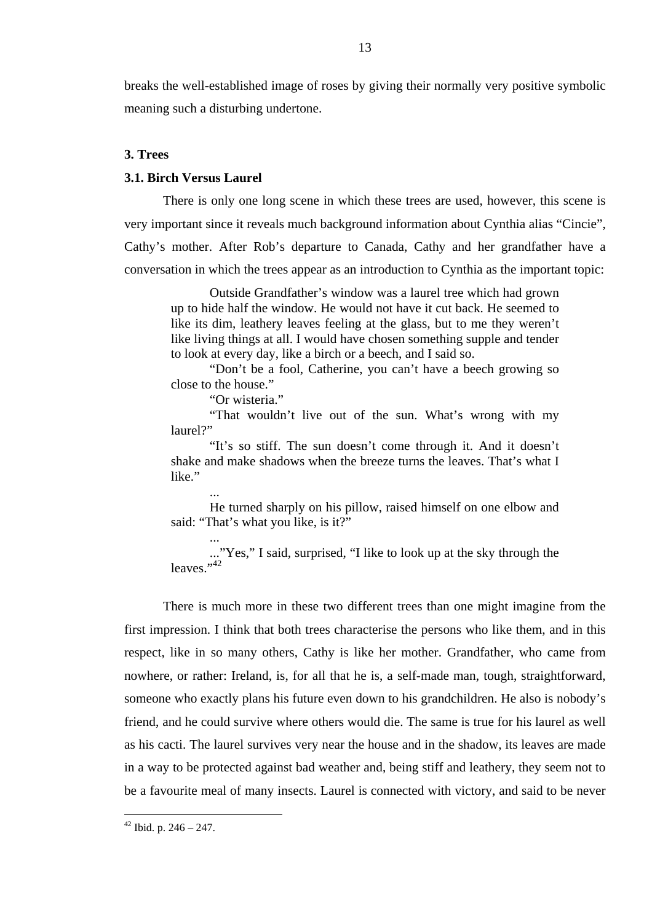breaks the well-established image of roses by giving their normally very positive symbolic meaning such a disturbing undertone.

# **3. Trees**

## **3.1. Birch Versus Laurel**

There is only one long scene in which these trees are used, however, this scene is very important since it reveals much background information about Cynthia alias "Cincie", Cathy's mother. After Rob's departure to Canada, Cathy and her grandfather have a conversation in which the trees appear as an introduction to Cynthia as the important topic:

Outside Grandfather's window was a laurel tree which had grown up to hide half the window. He would not have it cut back. He seemed to like its dim, leathery leaves feeling at the glass, but to me they weren't like living things at all. I would have chosen something supple and tender to look at every day, like a birch or a beech, and I said so.

"Don't be a fool, Catherine, you can't have a beech growing so close to the house."

"Or wisteria."

...

...

"That wouldn't live out of the sun. What's wrong with my laurel?"

"It's so stiff. The sun doesn't come through it. And it doesn't shake and make shadows when the breeze turns the leaves. That's what I like."

He turned sharply on his pillow, raised himself on one elbow and said: "That's what you like, is it?"

..."Yes," I said, surprised, "I like to look up at the sky through the leaves."<sup>42</sup>

There is much more in these two different trees than one might imagine from the first impression. I think that both trees characterise the persons who like them, and in this respect, like in so many others, Cathy is like her mother. Grandfather, who came from nowhere, or rather: Ireland, is, for all that he is, a self-made man, tough, straightforward, someone who exactly plans his future even down to his grandchildren. He also is nobody's friend, and he could survive where others would die. The same is true for his laurel as well as his cacti. The laurel survives very near the house and in the shadow, its leaves are made in a way to be protected against bad weather and, being stiff and leathery, they seem not to be a favourite meal of many insects. Laurel is connected with victory, and said to be never

 $42$  Ibid. p. 246 – 247.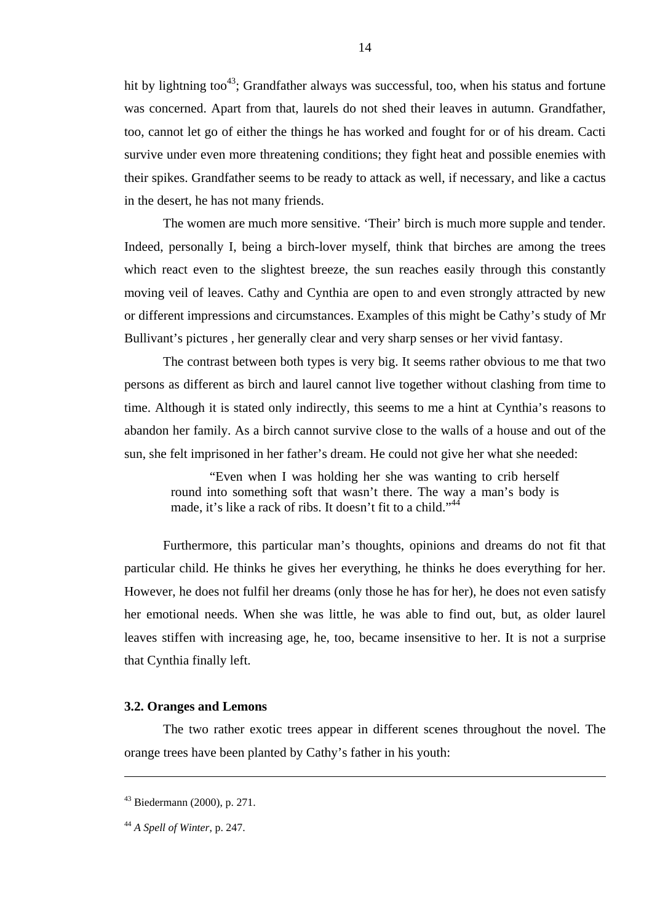hit by lightning too<sup>43</sup>; Grandfather always was successful, too, when his status and fortune was concerned. Apart from that, laurels do not shed their leaves in autumn. Grandfather, too, cannot let go of either the things he has worked and fought for or of his dream. Cacti survive under even more threatening conditions; they fight heat and possible enemies with their spikes. Grandfather seems to be ready to attack as well, if necessary, and like a cactus in the desert, he has not many friends.

The women are much more sensitive. 'Their' birch is much more supple and tender. Indeed, personally I, being a birch-lover myself, think that birches are among the trees which react even to the slightest breeze, the sun reaches easily through this constantly moving veil of leaves. Cathy and Cynthia are open to and even strongly attracted by new or different impressions and circumstances. Examples of this might be Cathy's study of Mr Bullivant's pictures , her generally clear and very sharp senses or her vivid fantasy.

The contrast between both types is very big. It seems rather obvious to me that two persons as different as birch and laurel cannot live together without clashing from time to time. Although it is stated only indirectly, this seems to me a hint at Cynthia's reasons to abandon her family. As a birch cannot survive close to the walls of a house and out of the sun, she felt imprisoned in her father's dream. He could not give her what she needed:

"Even when I was holding her she was wanting to crib herself round into something soft that wasn't there. The way a man's body is made, it's like a rack of ribs. It doesn't fit to a child."<sup>44</sup>

Furthermore, this particular man's thoughts, opinions and dreams do not fit that particular child. He thinks he gives her everything, he thinks he does everything for her. However, he does not fulfil her dreams (only those he has for her), he does not even satisfy her emotional needs. When she was little, he was able to find out, but, as older laurel leaves stiffen with increasing age, he, too, became insensitive to her. It is not a surprise that Cynthia finally left.

#### **3.2. Oranges and Lemons**

The two rather exotic trees appear in different scenes throughout the novel. The orange trees have been planted by Cathy's father in his youth:

<sup>43</sup> Biedermann (2000), p. 271.

<sup>44</sup> *A Spell of Winter*, p. 247.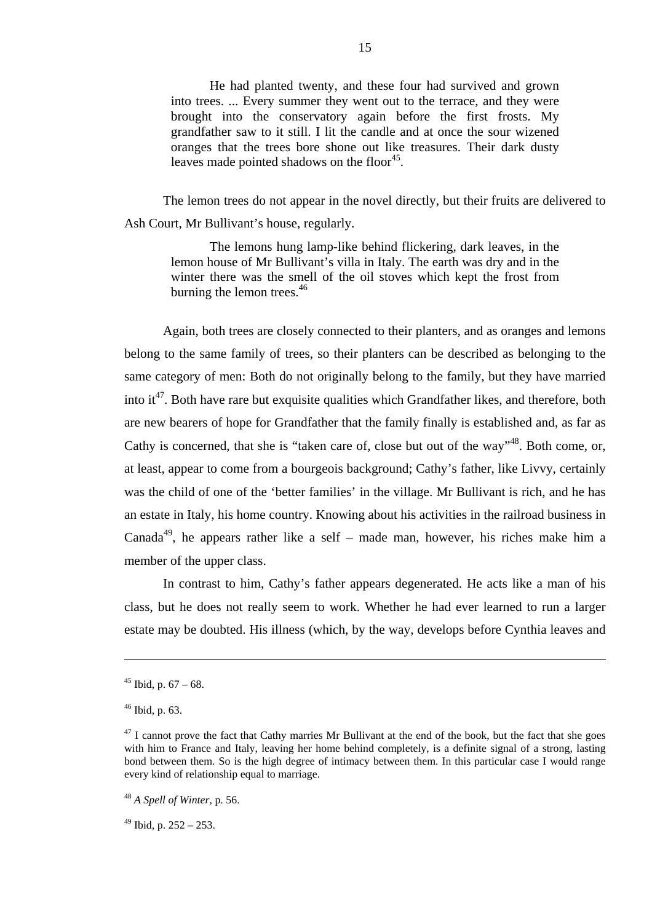He had planted twenty, and these four had survived and grown into trees. ... Every summer they went out to the terrace, and they were brought into the conservatory again before the first frosts. My grandfather saw to it still. I lit the candle and at once the sour wizened oranges that the trees bore shone out like treasures. Their dark dusty leaves made pointed shadows on the floor<sup>45</sup>.

The lemon trees do not appear in the novel directly, but their fruits are delivered to Ash Court, Mr Bullivant's house, regularly.

The lemons hung lamp-like behind flickering, dark leaves, in the lemon house of Mr Bullivant's villa in Italy. The earth was dry and in the winter there was the smell of the oil stoves which kept the frost from burning the lemon trees. $46$ 

Again, both trees are closely connected to their planters, and as oranges and lemons belong to the same family of trees, so their planters can be described as belonging to the same category of men: Both do not originally belong to the family, but they have married into it<sup>47</sup>. Both have rare but exquisite qualities which Grandfather likes, and therefore, both are new bearers of hope for Grandfather that the family finally is established and, as far as Cathy is concerned, that she is "taken care of, close but out of the way"<sup>48</sup>. Both come. or, at least, appear to come from a bourgeois background; Cathy's father, like Livvy, certainly was the child of one of the 'better families' in the village. Mr Bullivant is rich, and he has an estate in Italy, his home country. Knowing about his activities in the railroad business in Canada<sup>49</sup>, he appears rather like a self – made man, however, his riches make him a member of the upper class.

In contrast to him, Cathy's father appears degenerated. He acts like a man of his class, but he does not really seem to work. Whether he had ever learned to run a larger estate may be doubted. His illness (which, by the way, develops before Cynthia leaves and

 $45$  Ibid, p.  $67 - 68$ .

 $46$  Ibid, p. 63.

 $47$  I cannot prove the fact that Cathy marries Mr Bullivant at the end of the book, but the fact that she goes with him to France and Italy, leaving her home behind completely, is a definite signal of a strong, lasting bond between them. So is the high degree of intimacy between them. In this particular case I would range every kind of relationship equal to marriage.

<sup>48</sup> *A Spell of Winter*, p. 56.

 $49$  Ibid, p. 252 – 253.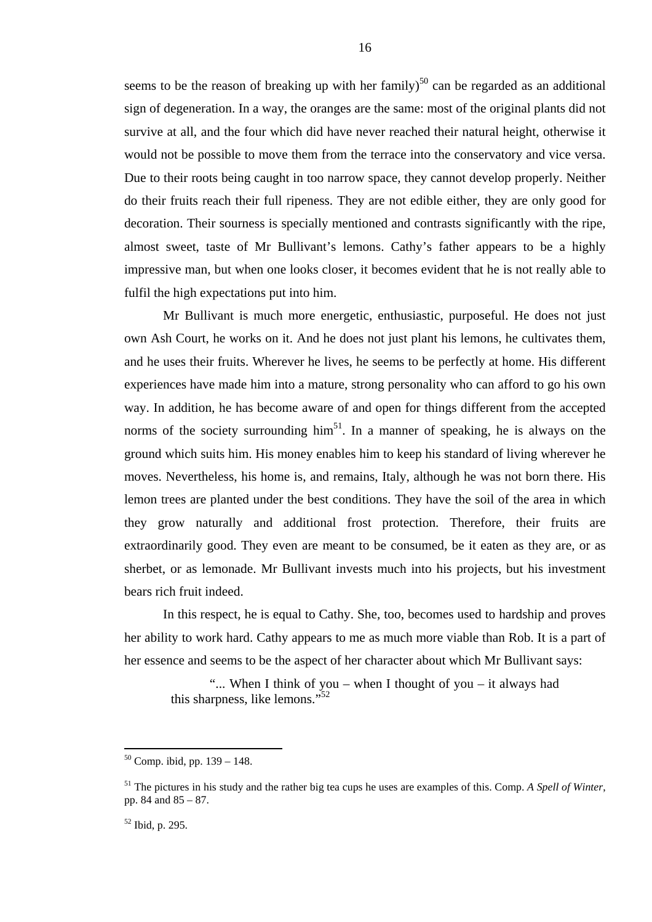seems to be the reason of breaking up with her family)<sup>50</sup> can be regarded as an additional sign of degeneration. In a way, the oranges are the same: most of the original plants did not survive at all, and the four which did have never reached their natural height, otherwise it would not be possible to move them from the terrace into the conservatory and vice versa. Due to their roots being caught in too narrow space, they cannot develop properly. Neither do their fruits reach their full ripeness. They are not edible either, they are only good for decoration. Their sourness is specially mentioned and contrasts significantly with the ripe, almost sweet, taste of Mr Bullivant's lemons. Cathy's father appears to be a highly impressive man, but when one looks closer, it becomes evident that he is not really able to fulfil the high expectations put into him.

Mr Bullivant is much more energetic, enthusiastic, purposeful. He does not just own Ash Court, he works on it. And he does not just plant his lemons, he cultivates them, and he uses their fruits. Wherever he lives, he seems to be perfectly at home. His different experiences have made him into a mature, strong personality who can afford to go his own way. In addition, he has become aware of and open for things different from the accepted norms of the society surrounding  $\lim^{51}$ . In a manner of speaking, he is always on the ground which suits him. His money enables him to keep his standard of living wherever he moves. Nevertheless, his home is, and remains, Italy, although he was not born there. His lemon trees are planted under the best conditions. They have the soil of the area in which they grow naturally and additional frost protection. Therefore, their fruits are extraordinarily good. They even are meant to be consumed, be it eaten as they are, or as sherbet, or as lemonade. Mr Bullivant invests much into his projects, but his investment bears rich fruit indeed.

In this respect, he is equal to Cathy. She, too, becomes used to hardship and proves her ability to work hard. Cathy appears to me as much more viable than Rob. It is a part of her essence and seems to be the aspect of her character about which Mr Bullivant says:

"... When I think of you – when I thought of you – it always had this sharpness, like lemons."<sup>52</sup>

 $50$  Comp. ibid, pp. 139 – 148.

<sup>51</sup> The pictures in his study and the rather big tea cups he uses are examples of this. Comp. *A Spell of Winter*, pp. 84 and 85 – 87.

<sup>52</sup> Ibid, p. 295.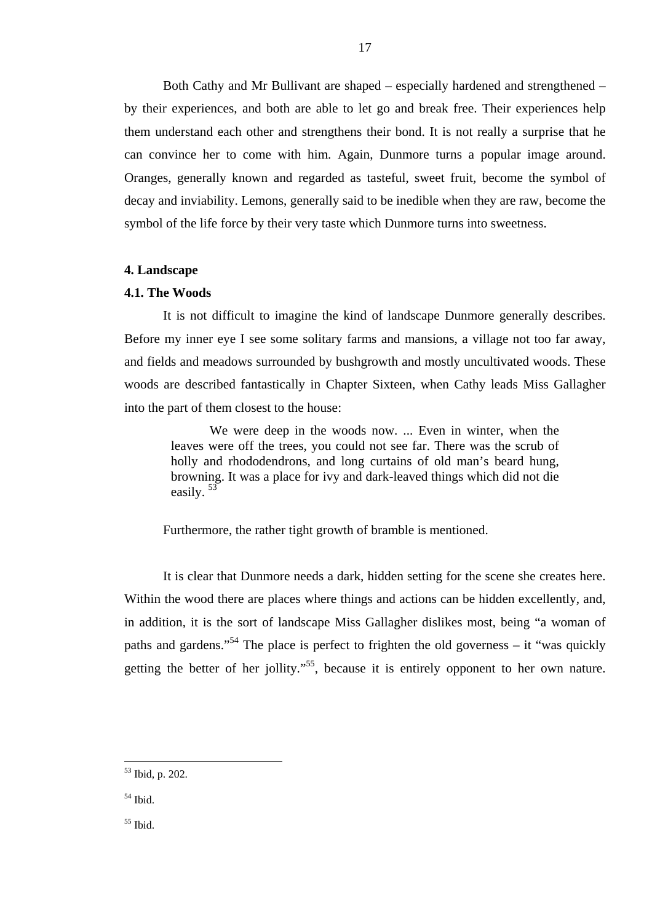Both Cathy and Mr Bullivant are shaped – especially hardened and strengthened – by their experiences, and both are able to let go and break free. Their experiences help them understand each other and strengthens their bond. It is not really a surprise that he can convince her to come with him. Again, Dunmore turns a popular image around. Oranges, generally known and regarded as tasteful, sweet fruit, become the symbol of decay and inviability. Lemons, generally said to be inedible when they are raw, become the symbol of the life force by their very taste which Dunmore turns into sweetness.

## **4. Landscape**

## **4.1. The Woods**

It is not difficult to imagine the kind of landscape Dunmore generally describes. Before my inner eye I see some solitary farms and mansions, a village not too far away, and fields and meadows surrounded by bushgrowth and mostly uncultivated woods. These woods are described fantastically in Chapter Sixteen, when Cathy leads Miss Gallagher into the part of them closest to the house:

We were deep in the woods now. ... Even in winter, when the leaves were off the trees, you could not see far. There was the scrub of holly and rhododendrons, and long curtains of old man's beard hung, browning. It was a place for ivy and dark-leaved things which did not die easily. <sup>53</sup>

Furthermore, the rather tight growth of bramble is mentioned.

It is clear that Dunmore needs a dark, hidden setting for the scene she creates here. Within the wood there are places where things and actions can be hidden excellently, and, in addition, it is the sort of landscape Miss Gallagher dislikes most, being "a woman of paths and gardens."<sup>54</sup> The place is perfect to frighten the old governess – it "was quickly" getting the better of her jollity."<sup>55</sup>, because it is entirely opponent to her own nature.

 $\overline{a}$ 

 $55$  Ibid.

<sup>53</sup> Ibid, p. 202.

<sup>54</sup> Ibid.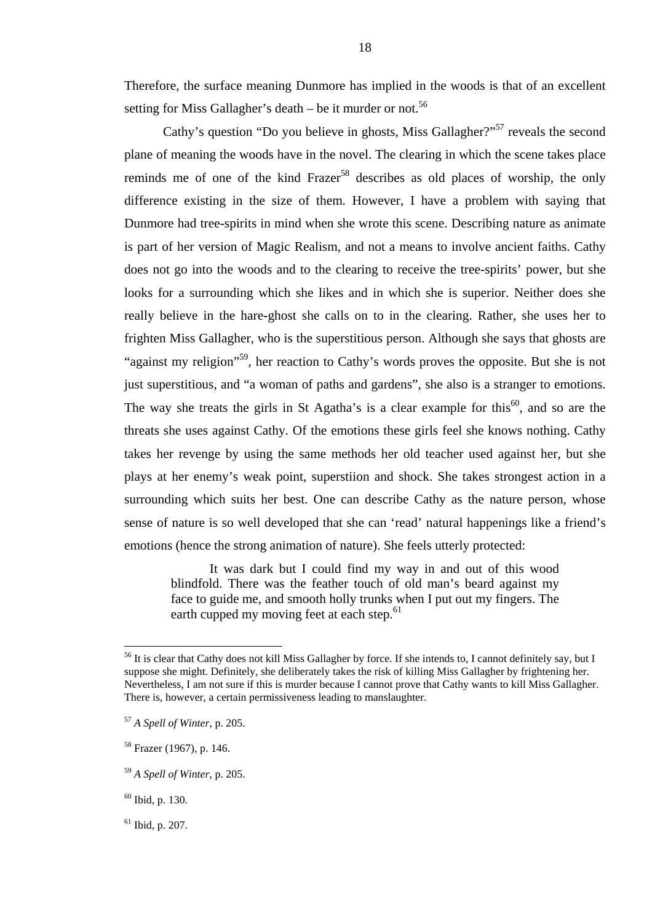Therefore, the surface meaning Dunmore has implied in the woods is that of an excellent setting for Miss Gallagher's death – be it murder or not.<sup>56</sup>

18

Cathy's question "Do you believe in ghosts, Miss Gallagher?"<sup>57</sup> reveals the second plane of meaning the woods have in the novel. The clearing in which the scene takes place reminds me of one of the kind Frazer<sup>58</sup> describes as old places of worship, the only difference existing in the size of them. However, I have a problem with saying that Dunmore had tree-spirits in mind when she wrote this scene. Describing nature as animate is part of her version of Magic Realism, and not a means to involve ancient faiths. Cathy does not go into the woods and to the clearing to receive the tree-spirits' power, but she looks for a surrounding which she likes and in which she is superior. Neither does she really believe in the hare-ghost she calls on to in the clearing. Rather, she uses her to frighten Miss Gallagher, who is the superstitious person. Although she says that ghosts are "against my religion"<sup>59</sup>, her reaction to Cathy's words proves the opposite. But she is not just superstitious, and "a woman of paths and gardens", she also is a stranger to emotions. The way she treats the girls in St Agatha's is a clear example for this<sup>60</sup>, and so are the threats she uses against Cathy. Of the emotions these girls feel she knows nothing. Cathy takes her revenge by using the same methods her old teacher used against her, but she plays at her enemy's weak point, superstiion and shock. She takes strongest action in a surrounding which suits her best. One can describe Cathy as the nature person, whose sense of nature is so well developed that she can 'read' natural happenings like a friend's emotions (hence the strong animation of nature). She feels utterly protected:

It was dark but I could find my way in and out of this wood blindfold. There was the feather touch of old man's beard against my face to guide me, and smooth holly trunks when I put out my fingers. The earth cupped my moving feet at each step.<sup>61</sup>

<sup>&</sup>lt;sup>56</sup> It is clear that Cathy does not kill Miss Gallagher by force. If she intends to, I cannot definitely say, but I suppose she might. Definitely, she deliberately takes the risk of killing Miss Gallagher by frightening her. Nevertheless, I am not sure if this is murder because I cannot prove that Cathy wants to kill Miss Gallagher. There is, however, a certain permissiveness leading to manslaughter.

<sup>57</sup> *A Spell of Winter*, p. 205.

<sup>58</sup> Frazer (1967), p. 146.

<sup>59</sup> *A Spell of Winter*, p. 205.

<sup>60</sup> Ibid, p. 130.

 $61$  Ibid, p. 207.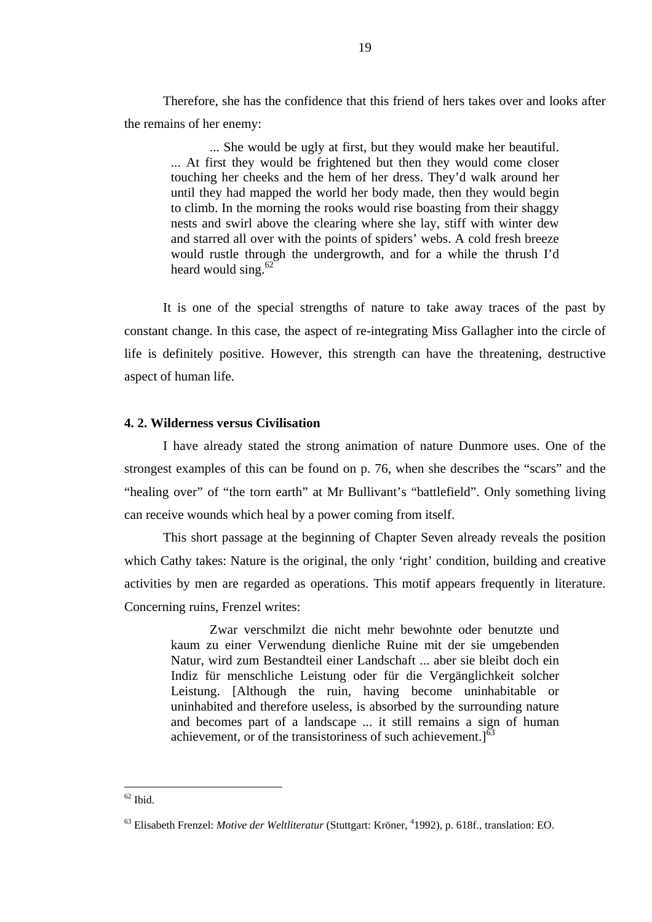Therefore, she has the confidence that this friend of hers takes over and looks after the remains of her enemy:

... She would be ugly at first, but they would make her beautiful. ... At first they would be frightened but then they would come closer touching her cheeks and the hem of her dress. They'd walk around her until they had mapped the world her body made, then they would begin to climb. In the morning the rooks would rise boasting from their shaggy nests and swirl above the clearing where she lay, stiff with winter dew and starred all over with the points of spiders' webs. A cold fresh breeze would rustle through the undergrowth, and for a while the thrush I'd heard would sing. $62$ 

It is one of the special strengths of nature to take away traces of the past by constant change. In this case, the aspect of re-integrating Miss Gallagher into the circle of life is definitely positive. However, this strength can have the threatening, destructive aspect of human life.

## **4. 2. Wilderness versus Civilisation**

I have already stated the strong animation of nature Dunmore uses. One of the strongest examples of this can be found on p. 76, when she describes the "scars" and the "healing over" of "the torn earth" at Mr Bullivant's "battlefield". Only something living can receive wounds which heal by a power coming from itself.

This short passage at the beginning of Chapter Seven already reveals the position which Cathy takes: Nature is the original, the only 'right' condition, building and creative activities by men are regarded as operations. This motif appears frequently in literature. Concerning ruins, Frenzel writes:

Zwar verschmilzt die nicht mehr bewohnte oder benutzte und kaum zu einer Verwendung dienliche Ruine mit der sie umgebenden Natur, wird zum Bestandteil einer Landschaft ... aber sie bleibt doch ein Indiz für menschliche Leistung oder für die Vergänglichkeit solcher Leistung. [Although the ruin, having become uninhabitable or uninhabited and therefore useless, is absorbed by the surrounding nature and becomes part of a landscape ... it still remains a sign of human achievement, or of the transistoriness of such achievement. $1^{63}$ 

 $62$  Ibid.

<sup>&</sup>lt;sup>63</sup> Elisabeth Frenzel: *Motive der Weltliteratur* (Stuttgart: Kröner, <sup>4</sup>1992), p. 618f., translation: EO.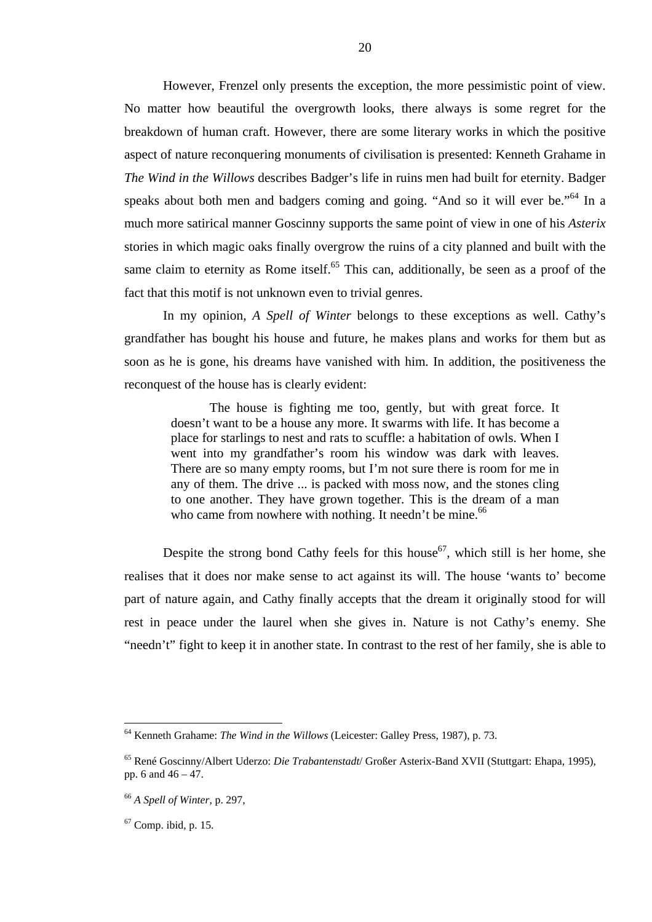However, Frenzel only presents the exception, the more pessimistic point of view. No matter how beautiful the overgrowth looks, there always is some regret for the breakdown of human craft. However, there are some literary works in which the positive aspect of nature reconquering monuments of civilisation is presented: Kenneth Grahame in *The Wind in the Willows* describes Badger's life in ruins men had built for eternity. Badger speaks about both men and badgers coming and going. "And so it will ever be."64 In a much more satirical manner Goscinny supports the same point of view in one of his *Asterix* stories in which magic oaks finally overgrow the ruins of a city planned and built with the same claim to eternity as Rome itself.<sup>65</sup> This can, additionally, be seen as a proof of the fact that this motif is not unknown even to trivial genres.

20

In my opinion, *A Spell of Winter* belongs to these exceptions as well. Cathy's grandfather has bought his house and future, he makes plans and works for them but as soon as he is gone, his dreams have vanished with him. In addition, the positiveness the reconquest of the house has is clearly evident:

The house is fighting me too, gently, but with great force. It doesn't want to be a house any more. It swarms with life. It has become a place for starlings to nest and rats to scuffle: a habitation of owls. When I went into my grandfather's room his window was dark with leaves. There are so many empty rooms, but I'm not sure there is room for me in any of them. The drive ... is packed with moss now, and the stones cling to one another. They have grown together. This is the dream of a man who came from nowhere with nothing. It needn't be mine.<sup>66</sup>

Despite the strong bond Cathy feels for this house<sup>67</sup>, which still is her home, she realises that it does nor make sense to act against its will. The house 'wants to' become part of nature again, and Cathy finally accepts that the dream it originally stood for will rest in peace under the laurel when she gives in. Nature is not Cathy's enemy. She "needn't" fight to keep it in another state. In contrast to the rest of her family, she is able to

 $67$  Comp. ibid, p. 15.

<sup>64</sup> Kenneth Grahame: *The Wind in the Willows* (Leicester: Galley Press, 1987), p. 73.

<sup>65</sup> René Goscinny/Albert Uderzo: *Die Trabantenstadt*/ Großer Asterix-Band XVII (Stuttgart: Ehapa, 1995), pp. 6 and  $46 - 47$ .

<sup>66</sup> *A Spell of Winter*, p. 297,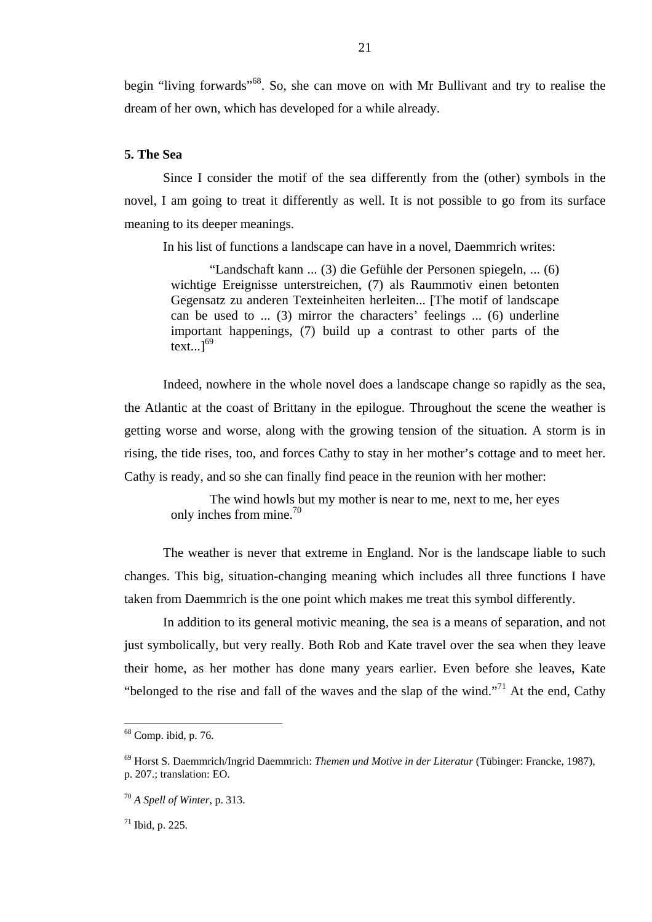begin "living forwards"<sup>68</sup>. So, she can move on with Mr Bullivant and try to realise the dream of her own, which has developed for a while already.

# **5. The Sea**

Since I consider the motif of the sea differently from the (other) symbols in the novel, I am going to treat it differently as well. It is not possible to go from its surface meaning to its deeper meanings.

In his list of functions a landscape can have in a novel, Daemmrich writes:

"Landschaft kann ... (3) die Gefühle der Personen spiegeln, ... (6) wichtige Ereignisse unterstreichen, (7) als Raummotiv einen betonten Gegensatz zu anderen Texteinheiten herleiten... [The motif of landscape can be used to ... (3) mirror the characters' feelings ... (6) underline important happenings, (7) build up a contrast to other parts of the  $text...$ <sup>69</sup>

Indeed, nowhere in the whole novel does a landscape change so rapidly as the sea, the Atlantic at the coast of Brittany in the epilogue. Throughout the scene the weather is getting worse and worse, along with the growing tension of the situation. A storm is in rising, the tide rises, too, and forces Cathy to stay in her mother's cottage and to meet her. Cathy is ready, and so she can finally find peace in the reunion with her mother:

The wind howls but my mother is near to me, next to me, her eyes only inches from mine.<sup>70</sup>

The weather is never that extreme in England. Nor is the landscape liable to such changes. This big, situation-changing meaning which includes all three functions I have taken from Daemmrich is the one point which makes me treat this symbol differently.

In addition to its general motivic meaning, the sea is a means of separation, and not just symbolically, but very really. Both Rob and Kate travel over the sea when they leave their home, as her mother has done many years earlier. Even before she leaves, Kate "belonged to the rise and fall of the waves and the slap of the wind."71 At the end, Cathy

 $68$  Comp. ibid, p. 76.

<sup>69</sup> Horst S. Daemmrich/Ingrid Daemmrich: *Themen und Motive in der Literatur* (Tübinger: Francke, 1987), p. 207.; translation: EO.

<sup>70</sup> *A Spell of Winter*, p. 313.

 $71$  Ibid, p. 225.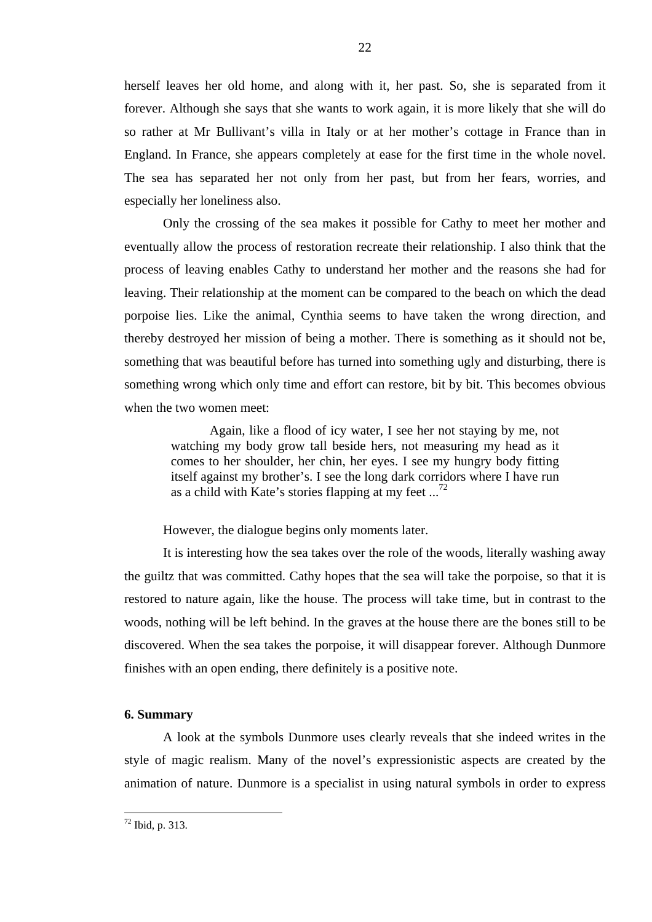herself leaves her old home, and along with it, her past. So, she is separated from it forever. Although she says that she wants to work again, it is more likely that she will do so rather at Mr Bullivant's villa in Italy or at her mother's cottage in France than in England. In France, she appears completely at ease for the first time in the whole novel. The sea has separated her not only from her past, but from her fears, worries, and especially her loneliness also.

Only the crossing of the sea makes it possible for Cathy to meet her mother and eventually allow the process of restoration recreate their relationship. I also think that the process of leaving enables Cathy to understand her mother and the reasons she had for leaving. Their relationship at the moment can be compared to the beach on which the dead porpoise lies. Like the animal, Cynthia seems to have taken the wrong direction, and thereby destroyed her mission of being a mother. There is something as it should not be, something that was beautiful before has turned into something ugly and disturbing, there is something wrong which only time and effort can restore, bit by bit. This becomes obvious when the two women meet:

Again, like a flood of icy water, I see her not staying by me, not watching my body grow tall beside hers, not measuring my head as it comes to her shoulder, her chin, her eyes. I see my hungry body fitting itself against my brother's. I see the long dark corridors where I have run as a child with Kate's stories flapping at my feet  $\ldots$ <sup>72</sup>

However, the dialogue begins only moments later.

It is interesting how the sea takes over the role of the woods, literally washing away the guiltz that was committed. Cathy hopes that the sea will take the porpoise, so that it is restored to nature again, like the house. The process will take time, but in contrast to the woods, nothing will be left behind. In the graves at the house there are the bones still to be discovered. When the sea takes the porpoise, it will disappear forever. Although Dunmore finishes with an open ending, there definitely is a positive note.

## **6. Summary**

A look at the symbols Dunmore uses clearly reveals that she indeed writes in the style of magic realism. Many of the novel's expressionistic aspects are created by the animation of nature. Dunmore is a specialist in using natural symbols in order to express

 $72$  Ibid, p. 313.